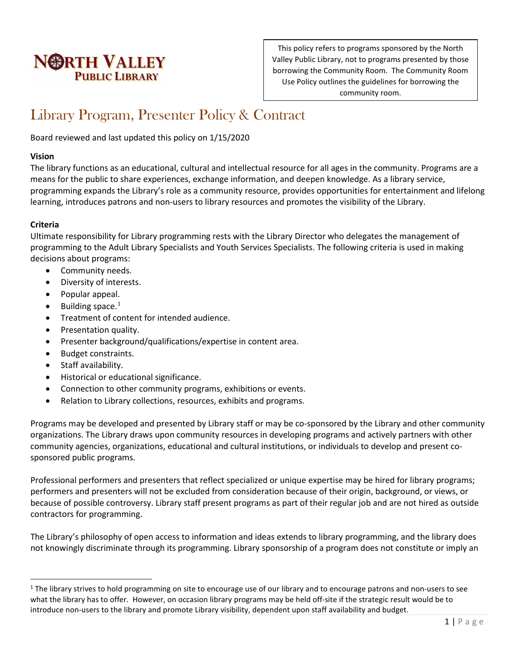

# Library Program, Presenter Policy & Contract

Board reviewed and last updated this policy on 1/15/2020

## **Vision**

The library functions as an educational, cultural and intellectual resource for all ages in the community. Programs are a means for the public to share experiences, exchange information, and deepen knowledge. As a library service, programming expands the Library's role as a community resource, provides opportunities for entertainment and lifelong learning, introduces patrons and non-users to library resources and promotes the visibility of the Library.

# **Criteria**

Ultimate responsibility for Library programming rests with the Library Director who delegates the management of programming to the Adult Library Specialists and Youth Services Specialists. The following criteria is used in making decisions about programs:

- Community needs.
- Diversity of interests.
- Popular appeal.
- Building space. $1$
- Treatment of content for intended audience.
- Presentation quality.
- Presenter background/qualifications/expertise in content area.
- Budget constraints.
- Staff availability.
- Historical or educational significance.
- Connection to other community programs, exhibitions or events.
- Relation to Library collections, resources, exhibits and programs.

Programs may be developed and presented by Library staff or may be co-sponsored by the Library and other community organizations. The Library draws upon community resources in developing programs and actively partners with other community agencies, organizations, educational and cultural institutions, or individuals to develop and present cosponsored public programs.

Professional performers and presenters that reflect specialized or unique expertise may be hired for library programs; performers and presenters will not be excluded from consideration because of their origin, background, or views, or because of possible controversy. Library staff present programs as part of their regular job and are not hired as outside contractors for programming.

The Library's philosophy of open access to information and ideas extends to library programming, and the library does not knowingly discriminate through its programming. Library sponsorship of a program does not constitute or imply an

<span id="page-0-0"></span> $1$  The library strives to hold programming on site to encourage use of our library and to encourage patrons and non-users to see what the library has to offer. However, on occasion library programs may be held off-site if the strategic result would be to introduce non-users to the library and promote Library visibility, dependent upon staff availability and budget.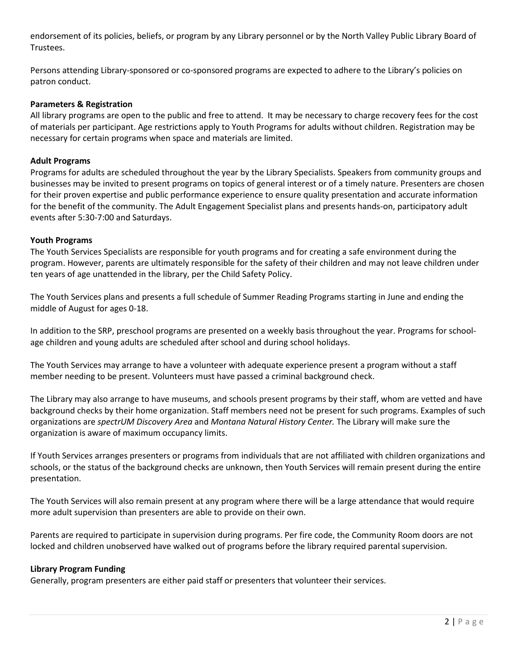endorsement of its policies, beliefs, or program by any Library personnel or by the North Valley Public Library Board of Trustees.

Persons attending Library-sponsored or co-sponsored programs are expected to adhere to the Library's policies on patron conduct.

## **Parameters & Registration**

All library programs are open to the public and free to attend. It may be necessary to charge recovery fees for the cost of materials per participant. Age restrictions apply to Youth Programs for adults without children. Registration may be necessary for certain programs when space and materials are limited.

## **Adult Programs**

Programs for adults are scheduled throughout the year by the Library Specialists. Speakers from community groups and businesses may be invited to present programs on topics of general interest or of a timely nature. Presenters are chosen for their proven expertise and public performance experience to ensure quality presentation and accurate information for the benefit of the community. The Adult Engagement Specialist plans and presents hands-on, participatory adult events after 5:30-7:00 and Saturdays.

### **Youth Programs**

The Youth Services Specialists are responsible for youth programs and for creating a safe environment during the program. However, parents are ultimately responsible for the safety of their children and may not leave children under ten years of age unattended in the library, per the Child Safety Policy.

The Youth Services plans and presents a full schedule of Summer Reading Programs starting in June and ending the middle of August for ages 0-18.

In addition to the SRP, preschool programs are presented on a weekly basis throughout the year. Programs for schoolage children and young adults are scheduled after school and during school holidays.

The Youth Services may arrange to have a volunteer with adequate experience present a program without a staff member needing to be present. Volunteers must have passed a criminal background check.

The Library may also arrange to have museums, and schools present programs by their staff, whom are vetted and have background checks by their home organization. Staff members need not be present for such programs. Examples of such organizations are *spectrUM Discovery Area* and *Montana Natural History Center.* The Library will make sure the organization is aware of maximum occupancy limits.

If Youth Services arranges presenters or programs from individuals that are not affiliated with children organizations and schools, or the status of the background checks are unknown, then Youth Services will remain present during the entire presentation.

The Youth Services will also remain present at any program where there will be a large attendance that would require more adult supervision than presenters are able to provide on their own.

Parents are required to participate in supervision during programs. Per fire code, the Community Room doors are not locked and children unobserved have walked out of programs before the library required parental supervision.

### **Library Program Funding**

Generally, program presenters are either paid staff or presenters that volunteer their services.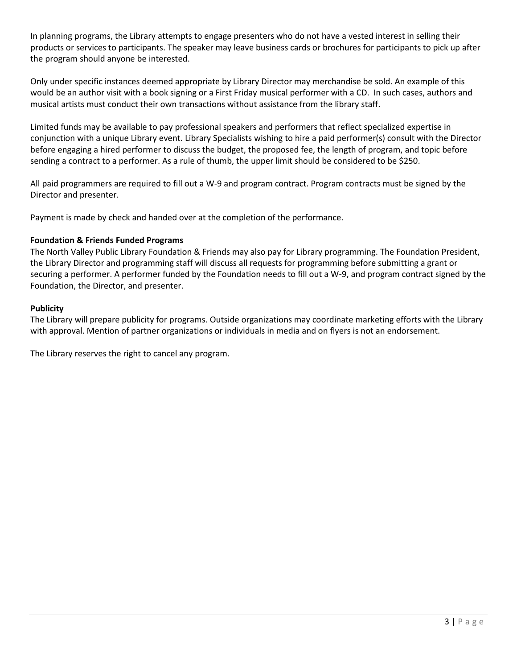In planning programs, the Library attempts to engage presenters who do not have a vested interest in selling their products or services to participants. The speaker may leave business cards or brochures for participants to pick up after the program should anyone be interested.

Only under specific instances deemed appropriate by Library Director may merchandise be sold. An example of this would be an author visit with a book signing or a First Friday musical performer with a CD. In such cases, authors and musical artists must conduct their own transactions without assistance from the library staff.

Limited funds may be available to pay professional speakers and performers that reflect specialized expertise in conjunction with a unique Library event. Library Specialists wishing to hire a paid performer(s) consult with the Director before engaging a hired performer to discuss the budget, the proposed fee, the length of program, and topic before sending a contract to a performer. As a rule of thumb, the upper limit should be considered to be \$250.

All paid programmers are required to fill out a W-9 and program contract. Program contracts must be signed by the Director and presenter.

Payment is made by check and handed over at the completion of the performance.

## **Foundation & Friends Funded Programs**

The North Valley Public Library Foundation & Friends may also pay for Library programming. The Foundation President, the Library Director and programming staff will discuss all requests for programming before submitting a grant or securing a performer. A performer funded by the Foundation needs to fill out a W-9, and program contract signed by the Foundation, the Director, and presenter.

## **Publicity**

The Library will prepare publicity for programs. Outside organizations may coordinate marketing efforts with the Library with approval. Mention of partner organizations or individuals in media and on flyers is not an endorsement.

The Library reserves the right to cancel any program.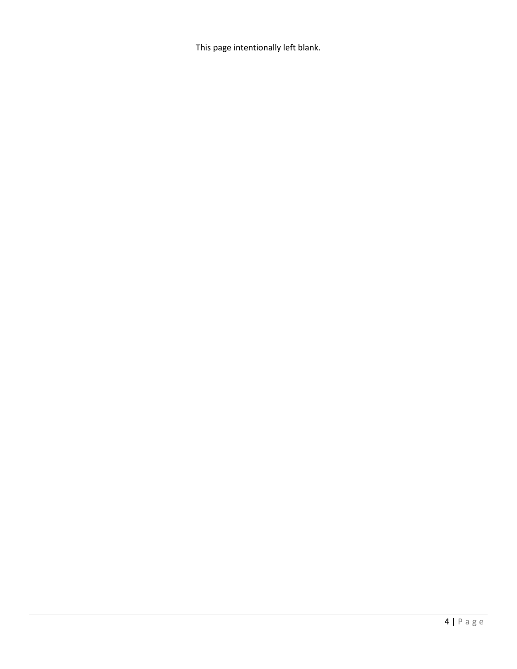This page intentionally left blank.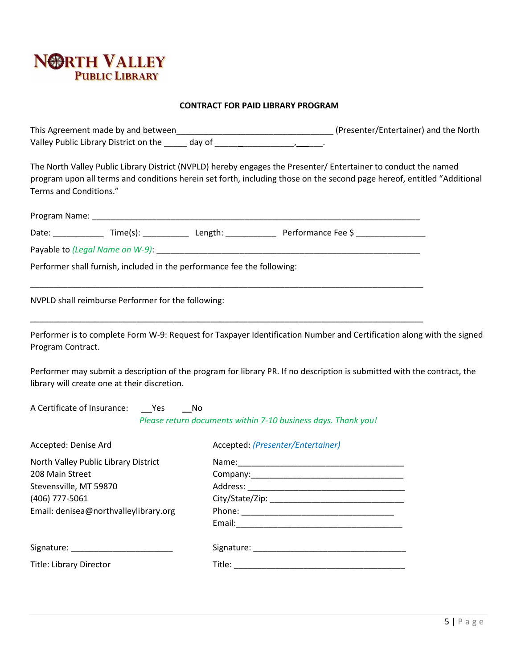

### **CONTRACT FOR PAID LIBRARY PROGRAM**

| Valley Public Library District on the ______ day of ____________________________.                                                                                                                                                                                    |                                                               |  |
|----------------------------------------------------------------------------------------------------------------------------------------------------------------------------------------------------------------------------------------------------------------------|---------------------------------------------------------------|--|
| The North Valley Public Library District (NVPLD) hereby engages the Presenter/ Entertainer to conduct the named<br>program upon all terms and conditions herein set forth, including those on the second page hereof, entitled "Additional<br>Terms and Conditions." |                                                               |  |
|                                                                                                                                                                                                                                                                      |                                                               |  |
|                                                                                                                                                                                                                                                                      |                                                               |  |
|                                                                                                                                                                                                                                                                      |                                                               |  |
| Performer shall furnish, included in the performance fee the following:                                                                                                                                                                                              |                                                               |  |
| NVPLD shall reimburse Performer for the following:                                                                                                                                                                                                                   |                                                               |  |
| Performer is to complete Form W-9: Request for Taxpayer Identification Number and Certification along with the signed<br>Program Contract.                                                                                                                           |                                                               |  |
| Performer may submit a description of the program for library PR. If no description is submitted with the contract, the<br>library will create one at their discretion.                                                                                              |                                                               |  |
| A Certificate of Insurance: _____ Yes ______ No                                                                                                                                                                                                                      |                                                               |  |
|                                                                                                                                                                                                                                                                      | Please return documents within 7-10 business days. Thank you! |  |
| Accepted: Denise Ard                                                                                                                                                                                                                                                 | Accepted: (Presenter/Entertainer)                             |  |
| North Valley Public Library District                                                                                                                                                                                                                                 |                                                               |  |
| 208 Main Street                                                                                                                                                                                                                                                      |                                                               |  |
| Stevensville, MT 59870                                                                                                                                                                                                                                               |                                                               |  |
| (406) 777-5061                                                                                                                                                                                                                                                       |                                                               |  |
| Email: denisea@northvalleylibrary.org                                                                                                                                                                                                                                |                                                               |  |
|                                                                                                                                                                                                                                                                      |                                                               |  |
|                                                                                                                                                                                                                                                                      |                                                               |  |
| <b>Title: Library Director</b>                                                                                                                                                                                                                                       |                                                               |  |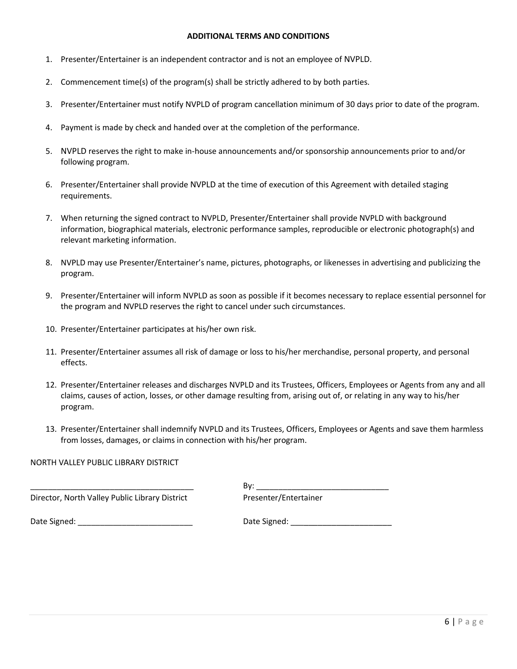## **ADDITIONAL TERMS AND CONDITIONS**

- 1. Presenter/Entertainer is an independent contractor and is not an employee of NVPLD.
- 2. Commencement time(s) of the program(s) shall be strictly adhered to by both parties.
- 3. Presenter/Entertainer must notify NVPLD of program cancellation minimum of 30 days prior to date of the program.
- 4. Payment is made by check and handed over at the completion of the performance.
- 5. NVPLD reserves the right to make in-house announcements and/or sponsorship announcements prior to and/or following program.
- 6. Presenter/Entertainer shall provide NVPLD at the time of execution of this Agreement with detailed staging requirements.
- 7. When returning the signed contract to NVPLD, Presenter/Entertainer shall provide NVPLD with background information, biographical materials, electronic performance samples, reproducible or electronic photograph(s) and relevant marketing information.
- 8. NVPLD may use Presenter/Entertainer's name, pictures, photographs, or likenesses in advertising and publicizing the program.
- 9. Presenter/Entertainer will inform NVPLD as soon as possible if it becomes necessary to replace essential personnel for the program and NVPLD reserves the right to cancel under such circumstances.
- 10. Presenter/Entertainer participates at his/her own risk.
- 11. Presenter/Entertainer assumes all risk of damage or loss to his/her merchandise, personal property, and personal effects.
- 12. Presenter/Entertainer releases and discharges NVPLD and its Trustees, Officers, Employees or Agents from any and all claims, causes of action, losses, or other damage resulting from, arising out of, or relating in any way to his/her program.
- 13. Presenter/Entertainer shall indemnify NVPLD and its Trustees, Officers, Employees or Agents and save them harmless from losses, damages, or claims in connection with his/her program.

NORTH VALLEY PUBLIC LIBRARY DISTRICT

|                                                | Bv:                   |
|------------------------------------------------|-----------------------|
| Director, North Valley Public Library District | Presenter/Entertainer |

Date Signed: \_\_\_\_\_\_\_\_\_\_\_\_\_\_\_\_\_\_\_\_\_\_\_\_\_\_ Date Signed: \_\_\_\_\_\_\_\_\_\_\_\_\_\_\_\_\_\_\_\_\_\_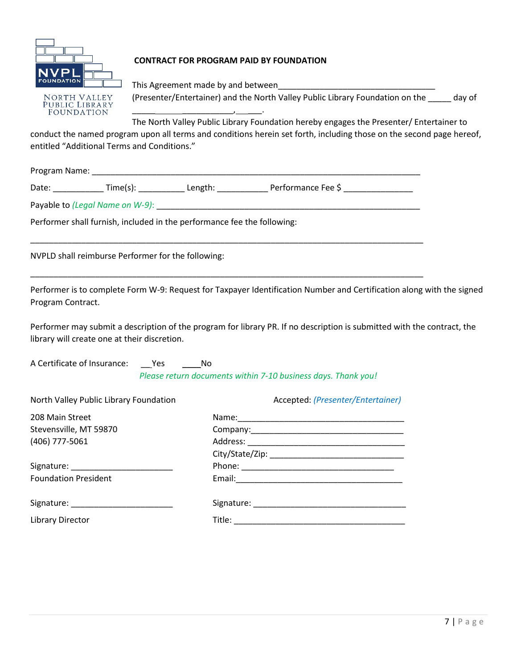

# **CONTRACT FOR PROGRAM PAID BY FOUNDATION**

This Agreement made by and between (Presenter/Entertainer) and the North Valley Public Library Foundation on the \_\_\_\_\_ day of \_\_\_\_\_ \_\_\_\_\_\_\_\_\_\_\_, \_\_\_.

The North Valley Public Library Foundation hereby engages the Presenter/ Entertainer to

conduct the named program upon all terms and conditions herein set forth, including those on the second page hereof, entitled "Additional Terms and Conditions."

Program Name:

Date: \_\_\_\_\_\_\_\_\_\_\_\_\_\_Time(s): \_\_\_\_\_\_\_\_\_\_\_\_\_\_ Length: \_\_\_\_\_\_\_\_\_\_\_\_\_\_\_\_ Performance Fee \$ \_\_\_\_\_\_\_\_\_\_\_\_\_\_\_\_\_\_

\_\_\_\_\_\_\_\_\_\_\_\_\_\_\_\_\_\_\_\_\_\_\_\_\_\_\_\_\_\_\_\_\_\_\_\_\_\_\_\_\_\_\_\_\_\_\_\_\_\_\_\_\_\_\_\_\_\_\_\_\_\_\_\_\_\_\_\_\_\_\_\_\_\_\_\_\_\_\_\_\_\_\_\_\_

\_\_\_\_\_\_\_\_\_\_\_\_\_\_\_\_\_\_\_\_\_\_\_\_\_\_\_\_\_\_\_\_\_\_\_\_\_\_\_\_\_\_\_\_\_\_\_\_\_\_\_\_\_\_\_\_\_\_\_\_\_\_\_\_\_\_\_\_\_\_\_\_\_\_\_\_\_\_\_\_\_\_\_\_\_

Payable to *(Legal Name on W-9)*: \_\_\_\_\_

Performer shall furnish, included in the performance fee the following:

NVPLD shall reimburse Performer for the following:

Performer is to complete Form W-9: Request for Taxpayer Identification Number and Certification along with the signed Program Contract.

Performer may submit a description of the program for library PR. If no description is submitted with the contract, the library will create one at their discretion.

| A Certificate of Insurance: | Yes | No |                                                               |  |
|-----------------------------|-----|----|---------------------------------------------------------------|--|
|                             |     |    | Please return documents within 7-10 business days. Thank you! |  |

| North Valley Public Library Foundation | Accepted: (Presenter/Entertainer) |
|----------------------------------------|-----------------------------------|
| 208 Main Street                        |                                   |
| Stevensville, MT 59870                 |                                   |
| (406) 777-5061                         |                                   |
|                                        |                                   |
|                                        |                                   |
| <b>Foundation President</b>            |                                   |
|                                        |                                   |
| <b>Library Director</b>                |                                   |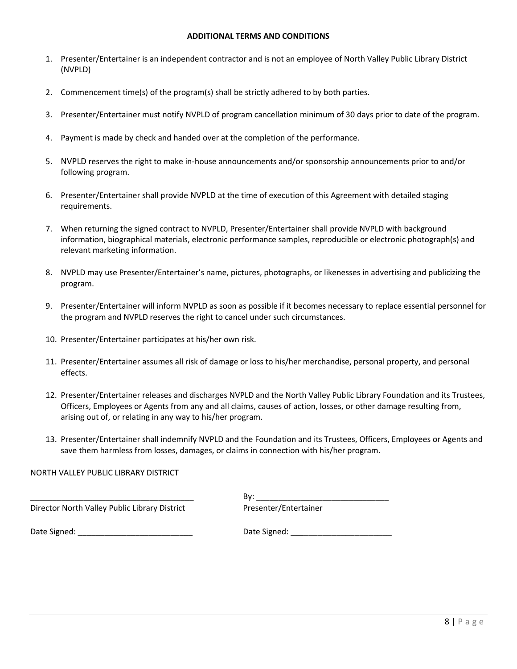### **ADDITIONAL TERMS AND CONDITIONS**

- 1. Presenter/Entertainer is an independent contractor and is not an employee of North Valley Public Library District (NVPLD)
- 2. Commencement time(s) of the program(s) shall be strictly adhered to by both parties.
- 3. Presenter/Entertainer must notify NVPLD of program cancellation minimum of 30 days prior to date of the program.
- 4. Payment is made by check and handed over at the completion of the performance.
- 5. NVPLD reserves the right to make in-house announcements and/or sponsorship announcements prior to and/or following program.
- 6. Presenter/Entertainer shall provide NVPLD at the time of execution of this Agreement with detailed staging requirements.
- 7. When returning the signed contract to NVPLD, Presenter/Entertainer shall provide NVPLD with background information, biographical materials, electronic performance samples, reproducible or electronic photograph(s) and relevant marketing information.
- 8. NVPLD may use Presenter/Entertainer's name, pictures, photographs, or likenesses in advertising and publicizing the program.
- 9. Presenter/Entertainer will inform NVPLD as soon as possible if it becomes necessary to replace essential personnel for the program and NVPLD reserves the right to cancel under such circumstances.
- 10. Presenter/Entertainer participates at his/her own risk.
- 11. Presenter/Entertainer assumes all risk of damage or loss to his/her merchandise, personal property, and personal effects.
- 12. Presenter/Entertainer releases and discharges NVPLD and the North Valley Public Library Foundation and its Trustees, Officers, Employees or Agents from any and all claims, causes of action, losses, or other damage resulting from, arising out of, or relating in any way to his/her program.
- 13. Presenter/Entertainer shall indemnify NVPLD and the Foundation and its Trustees, Officers, Employees or Agents and save them harmless from losses, damages, or claims in connection with his/her program.

NORTH VALLEY PUBLIC LIBRARY DISTRICT

Director North Valley Public Library District Presenter/Entertainer

| Director North Valley Public Library District |  |
|-----------------------------------------------|--|

Date Signed: \_\_\_\_\_\_\_\_\_\_\_\_\_\_\_\_\_\_\_\_\_\_\_\_\_\_ Date Signed: \_\_\_\_\_\_\_\_\_\_\_\_\_\_\_\_\_\_\_\_\_\_